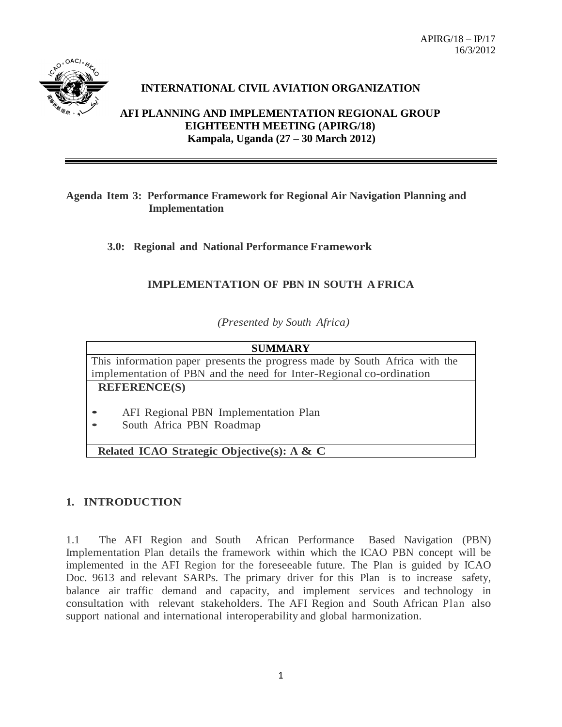

## **INTERNATIONAL CIVIL AVIATION ORGANIZATION**

**AFI PLANNING AND IMPLEMENTATION REGIONAL GROUP EIGHTEENTH MEETING (APIRG/18) Kampala, Uganda (27 – 30 March 2012)**

#### **Agenda Item 3: Performance Framework for Regional Air Navigation Planning and Implementation**

**3.0: Regional and National Performance Framework**

## **IMPLEMENTATION OF PBN IN SOUTH A FRICA**

*(Presented by South Africa)*

# **SUMMARY** This information paper presents the progress made by South Africa with the implementation of PBN and the need for Inter-Regional co-ordination **REFERENCE(S)**

- AFI Regional PBN Implementation Plan
- South Africa PBN Roadmap

**Related ICAO Strategic Objective(s): A & C**

## **1. INTRODUCTION**

1.1 The AFI Region and South African Performance Based Navigation (PBN) Implementation Plan details the framework within which the ICAO PBN concept will be implemented in the AFI Region for the foreseeable future. The Plan is guided by ICAO Doc. 9613 and relevant SARPs. The primary driver for this Plan is to increase safety, balance air traffic demand and capacity, and implement services and technology in consultation with relevant stakeholders. The AFI Region and South African Plan also support national and international interoperability and global harmonization.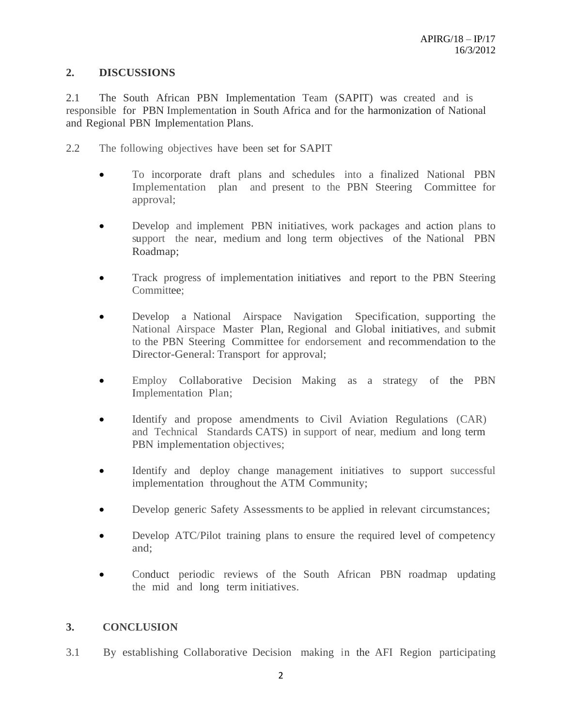### **2. DISCUSSIONS**

2.1 The South African PBN Implementation Team (SAPIT) was created and is responsible for PBN Implementation in South Africa and for the harmonization of National and Regional PBN Implementation Plans.

- 2.2 The following objectives have been set for SAPIT
	- To incorporate draft plans and schedules into a finalized National PBN Implementation plan and present to the PBN Steering Committee for approval;
	- Develop and implement PBN initiatives, work packages and action plans to support the near, medium and long term objectives of the National PBN Roadmap;
	- Track progress of implementation initiatives and report to the PBN Steering Committee;
	- Develop a National Airspace Navigation Specification, supporting the National Airspace Master Plan, Regional and Global initiatives, and submit to the PBN Steering Committee for endorsement and recommendation to the Director-General: Transport for approval;
	- Employ Collaborative Decision Making as a strategy of the PBN Implementation Plan;
	- Identify and propose amendments to Civil Aviation Regulations (CAR) and Technical Standards CATS) in support of near, medium and long term PBN implementation objectives;
	- Identify and deploy change management initiatives to support successful implementation throughout the ATM Community;
	- Develop generic Safety Assessments to be applied in relevant circumstances;
	- Develop ATC/Pilot training plans to ensure the required level of competency and;
	- Conduct periodic reviews of the South African PBN roadmap updating the mid and long term initiatives.

### **3. CONCLUSION**

3.1 By establishing Collaborative Decision making in the AFI Region participating